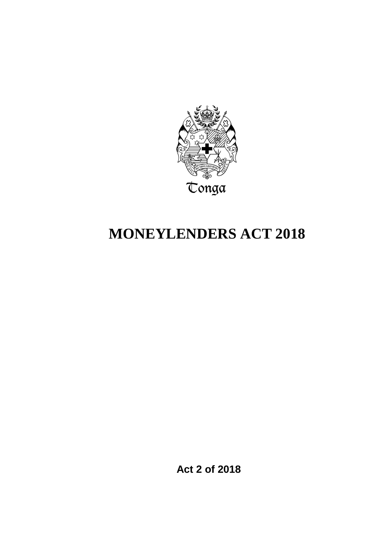

# **MONEYLENDERS ACT 2018**

**Act 2 of 2018**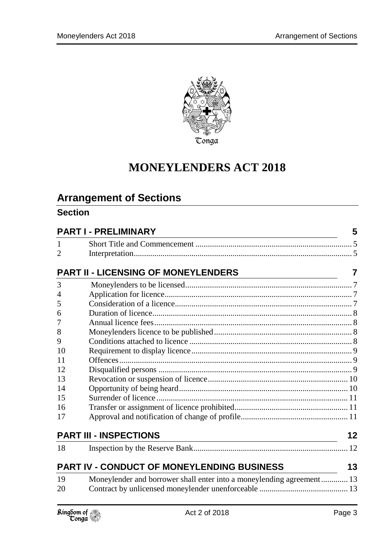

# **MONEYLENDERS ACT 2018**

# **Arrangement of Sections**

# **Section**

| <b>PART I - PRELIMINARY</b> |                                                                       | 5  |
|-----------------------------|-----------------------------------------------------------------------|----|
| $\mathbf{1}$                |                                                                       |    |
| $\overline{2}$              |                                                                       |    |
|                             | <b>PART II - LICENSING OF MONEYLENDERS</b>                            | 7  |
| 3                           |                                                                       |    |
| 4                           |                                                                       |    |
| 5                           |                                                                       |    |
| 6                           |                                                                       |    |
| 7                           |                                                                       |    |
| 8                           |                                                                       |    |
| 9                           |                                                                       |    |
| 10                          |                                                                       |    |
| 11                          |                                                                       |    |
| 12                          |                                                                       |    |
| 13                          |                                                                       |    |
| 14                          |                                                                       |    |
| 15                          |                                                                       |    |
| 16                          |                                                                       |    |
| 17                          |                                                                       |    |
|                             | <b>PART III - INSPECTIONS</b>                                         | 12 |
| 18                          |                                                                       |    |
|                             | <b>PART IV - CONDUCT OF MONEYLENDING BUSINESS</b>                     | 13 |
| 19                          | Moneylender and borrower shall enter into a moneylending agreement 13 |    |
| 20                          |                                                                       |    |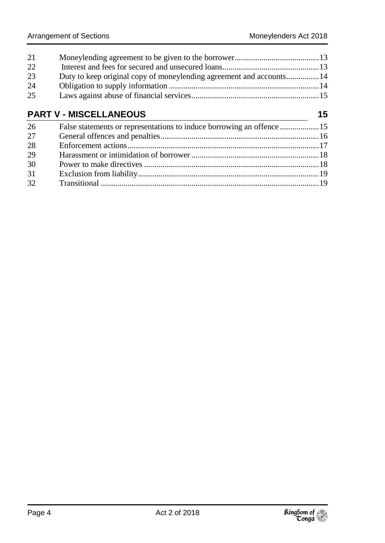| 21<br>22<br>23<br>24          | Duty to keep original copy of moneylending agreement and accounts 14  |    |
|-------------------------------|-----------------------------------------------------------------------|----|
| 25                            |                                                                       |    |
| <b>PART V - MISCELLANEOUS</b> |                                                                       | 15 |
| 26                            | False statements or representations to induce borrowing an offence 15 |    |
| 27                            |                                                                       |    |
| 28                            |                                                                       |    |
| 29                            |                                                                       |    |
| 30                            |                                                                       |    |
| 31                            |                                                                       |    |
| 32                            |                                                                       |    |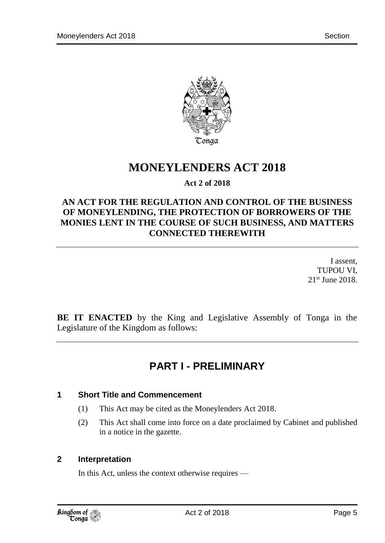

# **MONEYLENDERS ACT 2018**

### **Act 2 of 2018**

# **AN ACT FOR THE REGULATION AND CONTROL OF THE BUSINESS OF MONEYLENDING, THE PROTECTION OF BORROWERS OF THE MONIES LENT IN THE COURSE OF SUCH BUSINESS, AND MATTERS CONNECTED THEREWITH**

I assent, TUPOU VI, 21st June 2018.

<span id="page-4-0"></span>**BE IT ENACTED** by the King and Legislative Assembly of Tonga in the Legislature of the Kingdom as follows:

# **PART I - PRELIMINARY**

#### <span id="page-4-1"></span>**1 Short Title and Commencement**

- (1) This Act may be cited as the Moneylenders Act 2018.
- (2) This Act shall come into force on a date proclaimed by Cabinet and published in a notice in the gazette.

#### <span id="page-4-2"></span>**2 Interpretation**

In this Act, unless the context otherwise requires —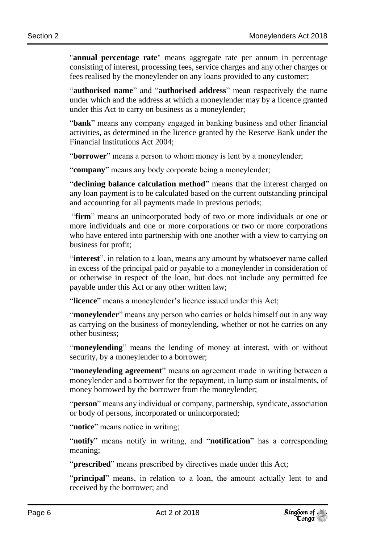"**annual percentage rate**" means aggregate rate per annum in percentage consisting of interest, processing fees, service charges and any other charges or fees realised by the moneylender on any loans provided to any customer;

"**authorised name**" and "**authorised address**" mean respectively the name under which and the address at which a moneylender may by a licence granted under this Act to carry on business as a moneylender;

"**bank**" means any company engaged in banking business and other financial activities, as determined in the licence granted by the Reserve Bank under the Financial Institutions Act 2004;

"**borrower**" means a person to whom money is lent by a moneylender;

"**company**" means any body corporate being a moneylender;

"**declining balance calculation method**" means that the interest charged on any loan payment is to be calculated based on the current outstanding principal and accounting for all payments made in previous periods;

"**firm**" means an unincorporated body of two or more individuals or one or more individuals and one or more corporations or two or more corporations who have entered into partnership with one another with a view to carrying on business for profit;

"**interest**", in relation to a loan, means any amount by whatsoever name called in excess of the principal paid or payable to a moneylender in consideration of or otherwise in respect of the loan, but does not include any permitted fee payable under this Act or any other written law;

"**licence**" means a moneylender's licence issued under this Act;

"**moneylender**" means any person who carries or holds himself out in any way as carrying on the business of moneylending, whether or not he carries on any other business;

"**moneylending**" means the lending of money at interest, with or without security, by a moneylender to a borrower;

"**moneylending agreement**" means an agreement made in writing between a moneylender and a borrower for the repayment, in lump sum or instalments, of money borrowed by the borrower from the moneylender;

"**person**" means any individual or company, partnership, syndicate, association or body of persons, incorporated or unincorporated;

"**notice**" means notice in writing;

"**notify**" means notify in writing, and "**notification**" has a corresponding meaning;

"**prescribed**" means prescribed by directives made under this Act;

"**principal**" means, in relation to a loan, the amount actually lent to and received by the borrower; and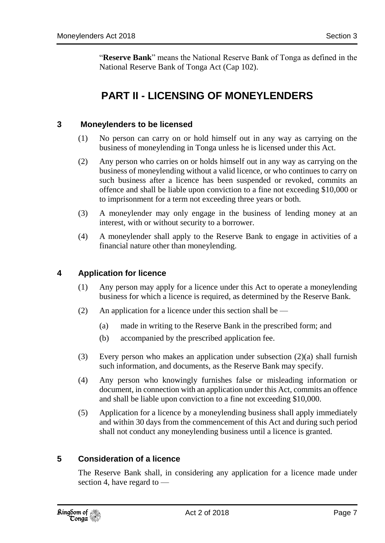<span id="page-6-0"></span>"**Reserve Bank**" means the National Reserve Bank of Tonga as defined in the National Reserve Bank of Tonga Act (Cap 102).

# **PART II - LICENSING OF MONEYLENDERS**

#### <span id="page-6-1"></span>**3 Moneylenders to be licensed**

- (1) No person can carry on or hold himself out in any way as carrying on the business of moneylending in Tonga unless he is licensed under this Act.
- (2) Any person who carries on or holds himself out in any way as carrying on the business of moneylending without a valid licence, or who continues to carry on such business after a licence has been suspended or revoked, commits an offence and shall be liable upon conviction to a fine not exceeding \$10,000 or to imprisonment for a term not exceeding three years or both.
- (3) A moneylender may only engage in the business of lending money at an interest, with or without security to a borrower.
- (4) A moneylender shall apply to the Reserve Bank to engage in activities of a financial nature other than moneylending.

### <span id="page-6-2"></span>**4 Application for licence**

- (1) Any person may apply for a licence under this Act to operate a moneylending business for which a licence is required, as determined by the Reserve Bank.
- (2) An application for a licence under this section shall be  $-$ 
	- (a) made in writing to the Reserve Bank in the prescribed form; and
	- (b) accompanied by the prescribed application fee.
- (3) Every person who makes an application under subsection  $(2)(a)$  shall furnish such information, and documents, as the Reserve Bank may specify.
- (4) Any person who knowingly furnishes false or misleading information or document, in connection with an application under this Act, commits an offence and shall be liable upon conviction to a fine not exceeding \$10,000.
- (5) Application for a licence by a moneylending business shall apply immediately and within 30 days from the commencement of this Act and during such period shall not conduct any moneylending business until a licence is granted.

#### <span id="page-6-3"></span>**5 Consideration of a licence**

The Reserve Bank shall, in considering any application for a licence made under section 4, have regard to —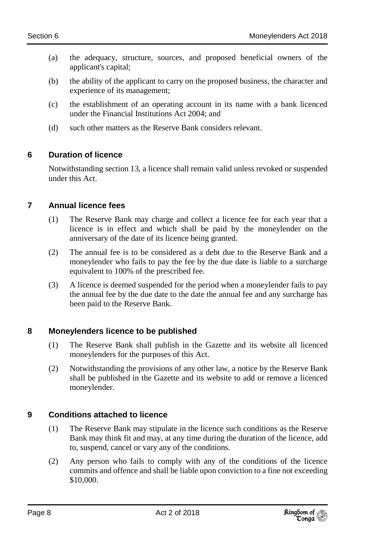- (a) the adequacy, structure, sources, and proposed beneficial owners of the applicant's capital;
- (b) the ability of the applicant to carry on the proposed business, the character and experience of its management;
- (c) the establishment of an operating account in its name with a bank licenced under the Financial Institutions Act 2004; and
- (d) such other matters as the Reserve Bank considers relevant.

# <span id="page-7-0"></span>**6 Duration of licence**

Notwithstanding section 13, a licence shall remain valid unless revoked or suspended under this Act.

# <span id="page-7-1"></span>**7 Annual licence fees**

- (1) The Reserve Bank may charge and collect a licence fee for each year that a licence is in effect and which shall be paid by the moneylender on the anniversary of the date of its licence being granted.
- (2) The annual fee is to be considered as a debt due to the Reserve Bank and a moneylender who fails to pay the fee by the due date is liable to a surcharge equivalent to 100% of the prescribed fee.
- (3) A licence is deemed suspended for the period when a moneylender fails to pay the annual fee by the due date to the date the annual fee and any surcharge has been paid to the Reserve Bank.

# <span id="page-7-2"></span>**8 Moneylenders licence to be published**

- (1) The Reserve Bank shall publish in the Gazette and its website all licenced moneylenders for the purposes of this Act.
- (2) Notwithstanding the provisions of any other law, a notice by the Reserve Bank shall be published in the Gazette and its website to add or remove a licenced moneylender.

# <span id="page-7-3"></span>**9 Conditions attached to licence**

- (1) The Reserve Bank may stipulate in the licence such conditions as the Reserve Bank may think fit and may, at any time during the duration of the licence, add to, suspend, cancel or vary any of the conditions.
- (2) Any person who fails to comply with any of the conditions of the licence commits and offence and shall be liable upon conviction to a fine not exceeding \$10,000.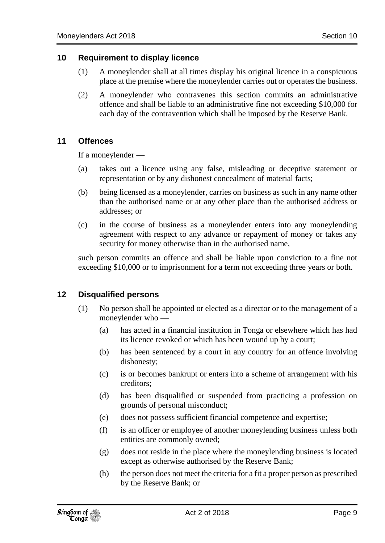#### <span id="page-8-0"></span>**10 Requirement to display licence**

- (1) A moneylender shall at all times display his original licence in a conspicuous place at the premise where the moneylender carries out or operates the business.
- (2) A moneylender who contravenes this section commits an administrative offence and shall be liable to an administrative fine not exceeding \$10,000 for each day of the contravention which shall be imposed by the Reserve Bank.

#### <span id="page-8-1"></span>**11 Offences**

If a moneylender —

- (a) takes out a licence using any false, misleading or deceptive statement or representation or by any dishonest concealment of material facts;
- (b) being licensed as a moneylender, carries on business as such in any name other than the authorised name or at any other place than the authorised address or addresses; or
- (c) in the course of business as a moneylender enters into any moneylending agreement with respect to any advance or repayment of money or takes any security for money otherwise than in the authorised name,

such person commits an offence and shall be liable upon conviction to a fine not exceeding \$10,000 or to imprisonment for a term not exceeding three years or both.

#### <span id="page-8-2"></span>**12 Disqualified persons**

- (1) No person shall be appointed or elected as a director or to the management of a moneylender who —
	- (a) has acted in a financial institution in Tonga or elsewhere which has had its licence revoked or which has been wound up by a court;
	- (b) has been sentenced by a court in any country for an offence involving dishonesty;
	- (c) is or becomes bankrupt or enters into a scheme of arrangement with his creditors;
	- (d) has been disqualified or suspended from practicing a profession on grounds of personal misconduct;
	- (e) does not possess sufficient financial competence and expertise;
	- (f) is an officer or employee of another moneylending business unless both entities are commonly owned;
	- (g) does not reside in the place where the moneylending business is located except as otherwise authorised by the Reserve Bank;
	- (h) the person does not meet the criteria for a fit a proper person as prescribed by the Reserve Bank; or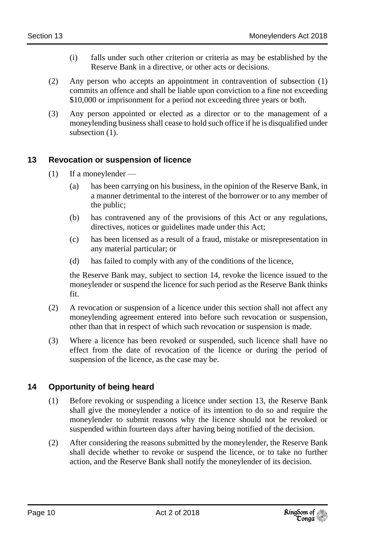- (i) falls under such other criterion or criteria as may be established by the Reserve Bank in a directive, or other acts or decisions.
- (2) Any person who accepts an appointment in contravention of subsection (1) commits an offence and shall be liable upon conviction to a fine not exceeding \$10,000 or imprisonment for a period not exceeding three years or both.
- (3) Any person appointed or elected as a director or to the management of a moneylending business shall cease to hold such office if he is disqualified under subsection  $(1)$ .

### <span id="page-9-0"></span>**13 Revocation or suspension of licence**

- $(1)$  If a moneylender
	- (a) has been carrying on his business, in the opinion of the Reserve Bank, in a manner detrimental to the interest of the borrower or to any member of the public;
	- (b) has contravened any of the provisions of this Act or any regulations, directives, notices or guidelines made under this Act;
	- (c) has been licensed as a result of a fraud, mistake or misrepresentation in any material particular; or
	- (d) has failed to comply with any of the conditions of the licence,

the Reserve Bank may, subject to section 14, revoke the licence issued to the moneylender or suspend the licence for such period as the Reserve Bank thinks fit.

- (2) A revocation or suspension of a licence under this section shall not affect any moneylending agreement entered into before such revocation or suspension, other than that in respect of which such revocation or suspension is made.
- (3) Where a licence has been revoked or suspended, such licence shall have no effect from the date of revocation of the licence or during the period of suspension of the licence, as the case may be.

# <span id="page-9-1"></span>**14 Opportunity of being heard**

- (1) Before revoking or suspending a licence under section 13, the Reserve Bank shall give the moneylender a notice of its intention to do so and require the moneylender to submit reasons why the licence should not be revoked or suspended within fourteen days after having being notified of the decision.
- (2) After considering the reasons submitted by the moneylender, the Reserve Bank shall decide whether to revoke or suspend the licence, or to take no further action, and the Reserve Bank shall notify the moneylender of its decision.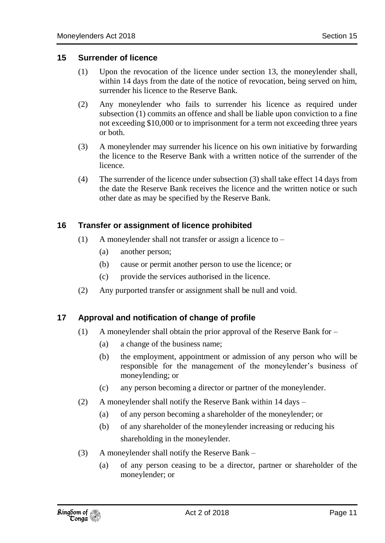#### <span id="page-10-0"></span>**15 Surrender of licence**

- (1) Upon the revocation of the licence under section 13, the moneylender shall, within 14 days from the date of the notice of revocation, being served on him, surrender his licence to the Reserve Bank.
- (2) Any moneylender who fails to surrender his licence as required under subsection (1) commits an offence and shall be liable upon conviction to a fine not exceeding \$10,000 or to imprisonment for a term not exceeding three years or both.
- (3) A moneylender may surrender his licence on his own initiative by forwarding the licence to the Reserve Bank with a written notice of the surrender of the licence.
- (4) The surrender of the licence under subsection (3) shall take effect 14 days from the date the Reserve Bank receives the licence and the written notice or such other date as may be specified by the Reserve Bank.

#### <span id="page-10-1"></span>**16 Transfer or assignment of licence prohibited**

- (1) A moneylender shall not transfer or assign a licence to
	- (a) another person;
	- (b) cause or permit another person to use the licence; or
	- (c) provide the services authorised in the licence.
- (2) Any purported transfer or assignment shall be null and void.

#### <span id="page-10-2"></span>**17 Approval and notification of change of profile**

- (1) A moneylender shall obtain the prior approval of the Reserve Bank for
	- (a) a change of the business name;
	- (b) the employment, appointment or admission of any person who will be responsible for the management of the moneylender's business of moneylending; or
	- (c) any person becoming a director or partner of the moneylender.
- (2) A moneylender shall notify the Reserve Bank within 14 days
	- (a) of any person becoming a shareholder of the moneylender; or
	- (b) of any shareholder of the moneylender increasing or reducing his shareholding in the moneylender.
- (3) A moneylender shall notify the Reserve Bank
	- (a) of any person ceasing to be a director, partner or shareholder of the moneylender; or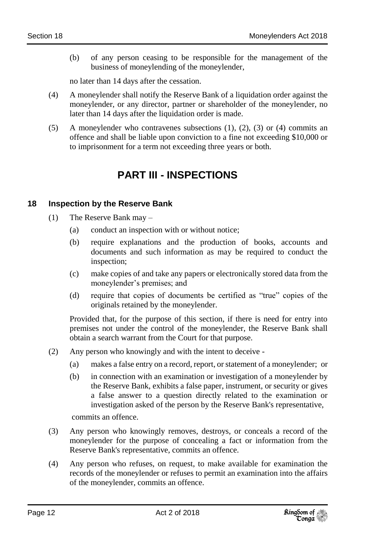(b) of any person ceasing to be responsible for the management of the business of moneylending of the moneylender,

no later than 14 days after the cessation.

- (4) A moneylender shall notify the Reserve Bank of a liquidation order against the moneylender, or any director, partner or shareholder of the moneylender, no later than 14 days after the liquidation order is made.
- <span id="page-11-0"></span>(5) A moneylender who contravenes subsections (1), (2), (3) or (4) commits an offence and shall be liable upon conviction to a fine not exceeding \$10,000 or to imprisonment for a term not exceeding three years or both.

# **PART III - INSPECTIONS**

### <span id="page-11-1"></span>**18 Inspection by the Reserve Bank**

- (1) The Reserve Bank may
	- (a) conduct an inspection with or without notice;
	- (b) require explanations and the production of books, accounts and documents and such information as may be required to conduct the inspection;
	- (c) make copies of and take any papers or electronically stored data from the moneylender's premises; and
	- (d) require that copies of documents be certified as "true" copies of the originals retained by the moneylender.

Provided that, for the purpose of this section, if there is need for entry into premises not under the control of the moneylender, the Reserve Bank shall obtain a search warrant from the Court for that purpose.

- (2) Any person who knowingly and with the intent to deceive
	- (a) makes a false entry on a record, report, or statement of a moneylender; or
	- (b) in connection with an examination or investigation of a moneylender by the Reserve Bank, exhibits a false paper, instrument, or security or gives a false answer to a question directly related to the examination or investigation asked of the person by the Reserve Bank's representative,

commits an offence.

- (3) Any person who knowingly removes, destroys, or conceals a record of the moneylender for the purpose of concealing a fact or information from the Reserve Bank's representative, commits an offence.
- (4) Any person who refuses, on request, to make available for examination the records of the moneylender or refuses to permit an examination into the affairs of the moneylender, commits an offence.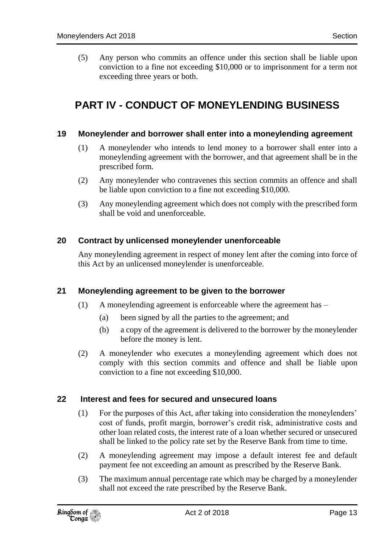(5) Any person who commits an offence under this section shall be liable upon conviction to a fine not exceeding \$10,000 or to imprisonment for a term not exceeding three years or both.

# <span id="page-12-0"></span>**PART IV - CONDUCT OF MONEYLENDING BUSINESS**

#### <span id="page-12-1"></span>**19 Moneylender and borrower shall enter into a moneylending agreement**

- (1) A moneylender who intends to lend money to a borrower shall enter into a moneylending agreement with the borrower, and that agreement shall be in the prescribed form.
- (2) Any moneylender who contravenes this section commits an offence and shall be liable upon conviction to a fine not exceeding \$10,000.
- (3) Any moneylending agreement which does not comply with the prescribed form shall be void and unenforceable.

#### <span id="page-12-2"></span>**20 Contract by unlicensed moneylender unenforceable**

Any moneylending agreement in respect of money lent after the coming into force of this Act by an unlicensed moneylender is unenforceable.

#### <span id="page-12-3"></span>**21 Moneylending agreement to be given to the borrower**

- (1) A moneylending agreement is enforceable where the agreement has
	- (a) been signed by all the parties to the agreement; and
	- (b) a copy of the agreement is delivered to the borrower by the moneylender before the money is lent.
- (2) A moneylender who executes a moneylending agreement which does not comply with this section commits and offence and shall be liable upon conviction to a fine not exceeding \$10,000.

#### <span id="page-12-4"></span>**22 Interest and fees for secured and unsecured loans**

- (1) For the purposes of this Act, after taking into consideration the moneylenders' cost of funds, profit margin, borrower's credit risk, administrative costs and other loan related costs, the interest rate of a loan whether secured or unsecured shall be linked to the policy rate set by the Reserve Bank from time to time.
- (2) A moneylending agreement may impose a default interest fee and default payment fee not exceeding an amount as prescribed by the Reserve Bank.
- (3) The maximum annual percentage rate which may be charged by a moneylender shall not exceed the rate prescribed by the Reserve Bank.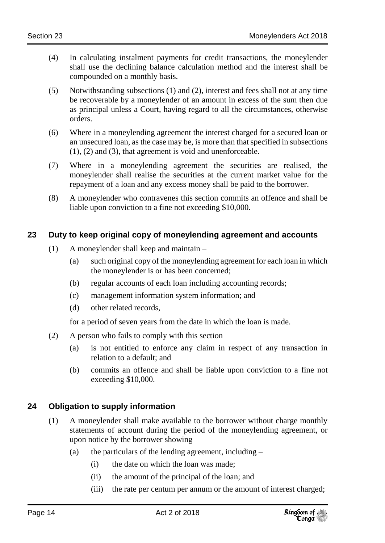- (4) In calculating instalment payments for credit transactions, the moneylender shall use the declining balance calculation method and the interest shall be compounded on a monthly basis.
- (5) Notwithstanding subsections (1) and (2), interest and fees shall not at any time be recoverable by a moneylender of an amount in excess of the sum then due as principal unless a Court, having regard to all the circumstances, otherwise orders.
- (6) Where in a moneylending agreement the interest charged for a secured loan or an unsecured loan, as the case may be, is more than that specified in subsections (1), (2) and (3), that agreement is void and unenforceable.
- (7) Where in a moneylending agreement the securities are realised, the moneylender shall realise the securities at the current market value for the repayment of a loan and any excess money shall be paid to the borrower.
- (8) A moneylender who contravenes this section commits an offence and shall be liable upon conviction to a fine not exceeding \$10,000.

# <span id="page-13-0"></span>**23 Duty to keep original copy of moneylending agreement and accounts**

- (1) A moneylender shall keep and maintain
	- (a) such original copy of the moneylending agreement for each loan in which the moneylender is or has been concerned;
	- (b) regular accounts of each loan including accounting records;
	- (c) management information system information; and
	- (d) other related records,

for a period of seven years from the date in which the loan is made.

- (2) A person who fails to comply with this section  $-$ 
	- (a) is not entitled to enforce any claim in respect of any transaction in relation to a default; and
	- (b) commits an offence and shall be liable upon conviction to a fine not exceeding \$10,000.

### <span id="page-13-1"></span>**24 Obligation to supply information**

- (1) A moneylender shall make available to the borrower without charge monthly statements of account during the period of the moneylending agreement, or upon notice by the borrower showing —
	- (a) the particulars of the lending agreement, including  $-$ 
		- (i) the date on which the loan was made;
		- (ii) the amount of the principal of the loan; and
		- (iii) the rate per centum per annum or the amount of interest charged;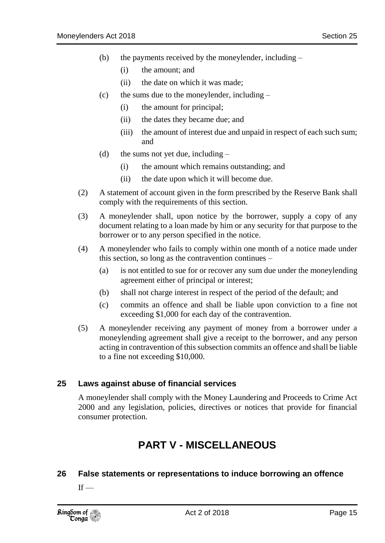- (b) the payments received by the moneylender, including
	- (i) the amount; and
	- (ii) the date on which it was made;
- (c) the sums due to the moneylender, including  $-$ 
	- (i) the amount for principal;
	- (ii) the dates they became due; and
	- (iii) the amount of interest due and unpaid in respect of each such sum; and
- (d) the sums not yet due, including  $-$ 
	- (i) the amount which remains outstanding; and
	- (ii) the date upon which it will become due.
- (2) A statement of account given in the form prescribed by the Reserve Bank shall comply with the requirements of this section.
- (3) A moneylender shall, upon notice by the borrower, supply a copy of any document relating to a loan made by him or any security for that purpose to the borrower or to any person specified in the notice.
- (4) A moneylender who fails to comply within one month of a notice made under this section, so long as the contravention continues –
	- (a) is not entitled to sue for or recover any sum due under the moneylending agreement either of principal or interest;
	- (b) shall not charge interest in respect of the period of the default; and
	- (c) commits an offence and shall be liable upon conviction to a fine not exceeding \$1,000 for each day of the contravention.
- (5) A moneylender receiving any payment of money from a borrower under a moneylending agreement shall give a receipt to the borrower, and any person acting in contravention of this subsection commits an offence and shall be liable to a fine not exceeding \$10,000.

#### <span id="page-14-0"></span>**25 Laws against abuse of financial services**

<span id="page-14-1"></span>A moneylender shall comply with the Money Laundering and Proceeds to Crime Act 2000 and any legislation, policies, directives or notices that provide for financial consumer protection.

# **PART V - MISCELLANEOUS**

#### <span id="page-14-2"></span>**26 False statements or representations to induce borrowing an offence**

 $If -$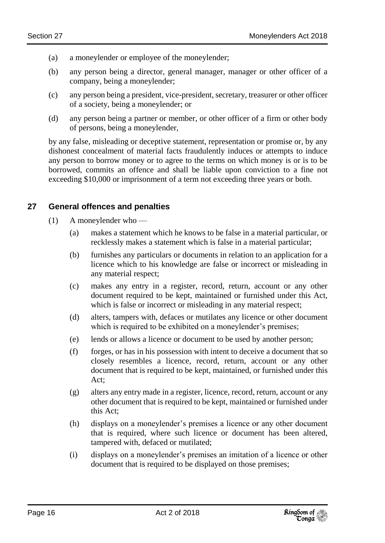- (a) a moneylender or employee of the moneylender;
- (b) any person being a director, general manager, manager or other officer of a company, being a moneylender;
- (c) any person being a president, vice-president, secretary, treasurer or other officer of a society, being a moneylender; or
- (d) any person being a partner or member, or other officer of a firm or other body of persons, being a moneylender,

by any false, misleading or deceptive statement, representation or promise or, by any dishonest concealment of material facts fraudulently induces or attempts to induce any person to borrow money or to agree to the terms on which money is or is to be borrowed, commits an offence and shall be liable upon conviction to a fine not exceeding \$10,000 or imprisonment of a term not exceeding three years or both.

### <span id="page-15-0"></span>**27 General offences and penalties**

- (1) A moneylender who
	- (a) makes a statement which he knows to be false in a material particular, or recklessly makes a statement which is false in a material particular;
	- (b) furnishes any particulars or documents in relation to an application for a licence which to his knowledge are false or incorrect or misleading in any material respect;
	- (c) makes any entry in a register, record, return, account or any other document required to be kept, maintained or furnished under this Act, which is false or incorrect or misleading in any material respect;
	- (d) alters, tampers with, defaces or mutilates any licence or other document which is required to be exhibited on a moneylender's premises;
	- (e) lends or allows a licence or document to be used by another person;
	- (f) forges, or has in his possession with intent to deceive a document that so closely resembles a licence, record, return, account or any other document that is required to be kept, maintained, or furnished under this Act;
	- (g) alters any entry made in a register, licence, record, return, account or any other document that is required to be kept, maintained or furnished under this Act;
	- (h) displays on a moneylender's premises a licence or any other document that is required, where such licence or document has been altered, tampered with, defaced or mutilated;
	- (i) displays on a moneylender's premises an imitation of a licence or other document that is required to be displayed on those premises;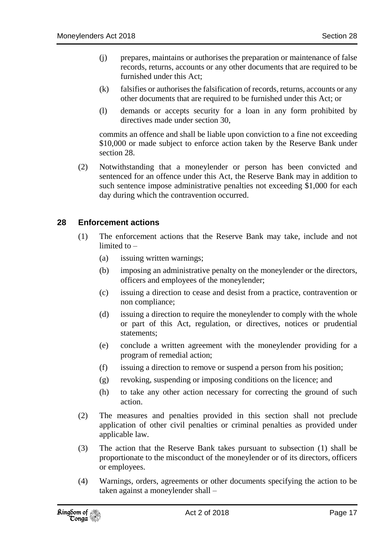- (j) prepares, maintains or authorises the preparation or maintenance of false records, returns, accounts or any other documents that are required to be furnished under this Act;
- (k) falsifies or authorises the falsification of records, returns, accounts or any other documents that are required to be furnished under this Act; or
- (l) demands or accepts security for a loan in any form prohibited by directives made under section 30,

commits an offence and shall be liable upon conviction to a fine not exceeding \$10,000 or made subject to enforce action taken by the Reserve Bank under section 28.

(2) Notwithstanding that a moneylender or person has been convicted and sentenced for an offence under this Act, the Reserve Bank may in addition to such sentence impose administrative penalties not exceeding \$1,000 for each day during which the contravention occurred.

#### <span id="page-16-0"></span>**28 Enforcement actions**

- (1) The enforcement actions that the Reserve Bank may take, include and not limited to –
	- (a) issuing written warnings;
	- (b) imposing an administrative penalty on the moneylender or the directors, officers and employees of the moneylender;
	- (c) issuing a direction to cease and desist from a practice, contravention or non compliance;
	- (d) issuing a direction to require the moneylender to comply with the whole or part of this Act, regulation, or directives, notices or prudential statements;
	- (e) conclude a written agreement with the moneylender providing for a program of remedial action;
	- (f) issuing a direction to remove or suspend a person from his position;
	- (g) revoking, suspending or imposing conditions on the licence; and
	- (h) to take any other action necessary for correcting the ground of such action.
- (2) The measures and penalties provided in this section shall not preclude application of other civil penalties or criminal penalties as provided under applicable law.
- (3) The action that the Reserve Bank takes pursuant to subsection (1) shall be proportionate to the misconduct of the moneylender or of its directors, officers or employees.
- (4) Warnings, orders, agreements or other documents specifying the action to be taken against a moneylender shall –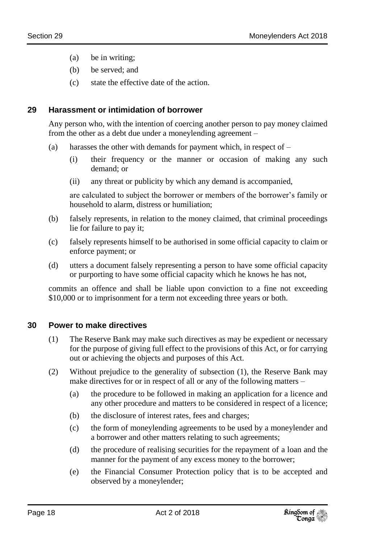- (a) be in writing;
- (b) be served; and
- (c) state the effective date of the action.

## <span id="page-17-0"></span>**29 Harassment or intimidation of borrower**

Any person who, with the intention of coercing another person to pay money claimed from the other as a debt due under a moneylending agreement –

- (a) harasses the other with demands for payment which, in respect of  $-$ 
	- (i) their frequency or the manner or occasion of making any such demand; or
	- (ii) any threat or publicity by which any demand is accompanied,

are calculated to subject the borrower or members of the borrower's family or household to alarm, distress or humiliation;

- (b) falsely represents, in relation to the money claimed, that criminal proceedings lie for failure to pay it;
- (c) falsely represents himself to be authorised in some official capacity to claim or enforce payment; or
- (d) utters a document falsely representing a person to have some official capacity or purporting to have some official capacity which he knows he has not,

commits an offence and shall be liable upon conviction to a fine not exceeding \$10,000 or to imprisonment for a term not exceeding three years or both.

### <span id="page-17-1"></span>**30 Power to make directives**

- (1) The Reserve Bank may make such directives as may be expedient or necessary for the purpose of giving full effect to the provisions of this Act, or for carrying out or achieving the objects and purposes of this Act.
- (2) Without prejudice to the generality of subsection (1), the Reserve Bank may make directives for or in respect of all or any of the following matters –
	- (a) the procedure to be followed in making an application for a licence and any other procedure and matters to be considered in respect of a licence;
	- (b) the disclosure of interest rates, fees and charges;
	- (c) the form of moneylending agreements to be used by a moneylender and a borrower and other matters relating to such agreements;
	- (d) the procedure of realising securities for the repayment of a loan and the manner for the payment of any excess money to the borrower;
	- (e) the Financial Consumer Protection policy that is to be accepted and observed by a moneylender;